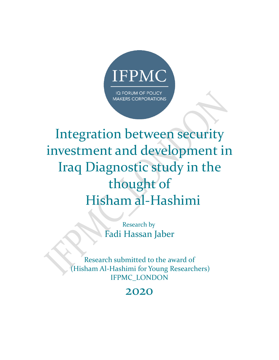

# Integration between security investment and development in Iraq Diagnostic study in the thought of Hisham al-Hashimi

Research by Fadi Hassan Jaber

Research submitted to the award of (Hisham Al-Hashimi for Young Researchers) IFPMC\_LONDON

### 2020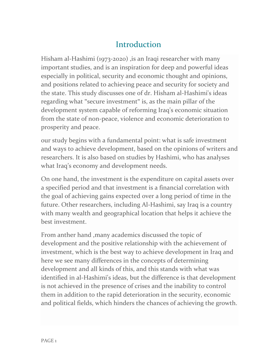### Introduction

Hisham al-Hashimi (1973-2020) , is an Iraqi researcher with many important studies, and is an inspiration for deep and powerful ideas especially in political, security and economic thought and opinions, and positions related to achieving peace and security for society and the state. This study discusses one of dr. Hisham al-Hashimi's ideas regarding what "secure investment" is, as the main pillar of the development system capable of reforming Iraq's economic situation from the state of non-peace, violence and economic deterioration to prosperity and peace.

our study begins with a fundamental point: what is safe investment and ways to achieve development, based on the opinions of writers and researchers. It is also based on studies by Hashimi, who has analyses what Iraq's economy and development needs.

On one hand, the investment is the expenditure on capital assets over a specified period and that investment is a financial correlation with the goal of achieving gains expected over a long period of time in the future. Other researchers, including Al-Hashimi, say Iraq is a country with many wealth and geographical location that helps it achieve the best investment.

From anther hand ,many academics discussed the topic of development and the positive relationship with the achievement of investment, which is the best way to achieve development in Iraq and here we see many differences in the concepts of determining development and all kinds of this, and this stands with what was identified in al-Hashimi's ideas, but the difference is that development is not achieved in the presence of crises and the inability to control them in addition to the rapid deterioration in the security, economic and political fields, which hinders the chances of achieving the growth.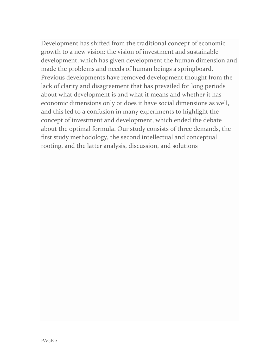Development has shifted from the traditional concept of economic growth to a new vision: the vision of investment and sustainable development, which has given development the human dimension and made the problems and needs of human beings a springboard. Previous developments have removed development thought from the lack of clarity and disagreement that has prevailed for long periods about what development is and what it means and whether it has economic dimensions only or does it have social dimensions as well, and this led to a confusion in many experiments to highlight the concept of investment and development, which ended the debate about the optimal formula. Our study consists of three demands, the first study methodology, the second intellectual and conceptual rooting, and the latter analysis, discussion, and solutions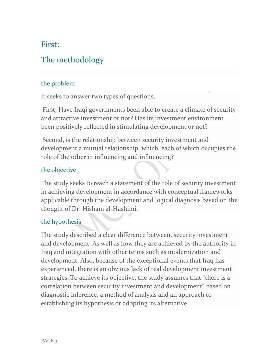### First:

### The methodology

#### the problem

It seeks to answer two types of questions,

First, Have Iraqi governments been able to create a climate of security and attractive investment or not? Has its investment environment been positively reflected in stimulating development or not?

Second, is the relationship between security investment and development a mutual relationship, which, each of which occupies the role of the other in influencing and influencing?

#### the objective

The study seeks to reach a statement of the role of security investment in achieving development in accordance with conceptual frameworks applicable through the development and logical diagnosis based on the thought of Dr. Hisham al-Hashimi.

#### the hypothesis

The study described a clear difference between, security investment and development. As well as how they are achieved by the authority in Iraq and integration with other terms such as modernization and development. Also, because of the exceptional events that Iraq has experienced, there is an obvious lack of real development investment strategies. To achieve its objective, the study assumes that "there is a correlation between security investment and development" based on diagnostic inference, a method of analysis and an approach to establishing its hypothesis or adopting its alternative.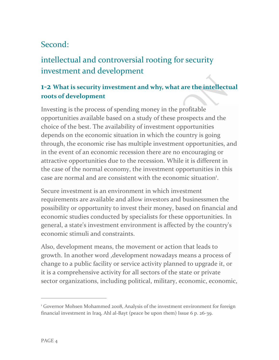### Second:

## intellectual and controversial rooting for security investment and development

### **1-2 What is security investment and why, what are the intellectual roots of development**

Investing is the process of spending money in the profitable opportunities available based on a study of these prospects and the choice of the best. The availability of investment opportunities depends on the economic situation in which the country is going through, the economic rise has multiple investment opportunities, and in the event of an economic recession there are no encouraging or attractive opportunities due to the recession. While it is different in the case of the normal economy, the investment opportunities in this case are normal and are consistent with the economic situation<sup>1</sup>.

Secure investment is an environment in which investment requirements are available and allow investors and businessmen the possibility or opportunity to invest their money, based on financial and economic studies conducted by specialists for these opportunities. In general, a state's investment environment is affected by the country's economic stimuli and constraints.

Also, development means, the movement or action that leads to growth. In another word ,development nowadays means a process of change to a public facility or service activity planned to upgrade it, or it is a comprehensive activity for all sectors of the state or private sector organizations, including political, military, economic, economic,

<sup>&</sup>lt;sup>1</sup> Governor Mohsen Mohammed 2008, Analysis of the investment environment for foreign financial investment in Iraq, Ahl al-Bayt (peace be upon them) Issue 6 p. 26-39.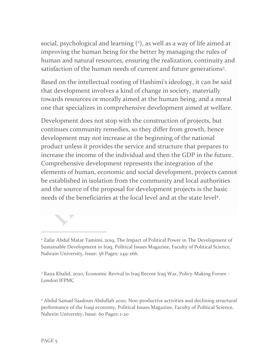social, psychological and learning  $(2)$ , as well as a way of life aimed at improving the human being for the better by managing the rules of human and natural resources, ensuring the realization, continuity and satisfaction of the human needs of current and future generations<sup>3</sup>.

Based on the intellectual rooting of Hashimi's ideology, it can be said that development involves a kind of change in society, materially towards resources or morally aimed at the human being, and a moral one that specializes in comprehensive development aimed at welfare .

Development does not stop with the construction of projects, but continues community remedies, so they differ from growth, hence development may not increase at the beginning of the national product unless it provides the service and structure that prepares to increase the income of the individual and then the GDP in the future. Comprehensive development represents the integration of the elements of human, economic and social development, projects cannot be established in isolation from the community and local authorities and the source of the proposal for development projects is the basic needs of the beneficiaries at the local level and at the state level<sup>4</sup>.



<sup>3</sup> Rana Khalid, 2020, Economic Revival in Iraq Recent Iraq War, Policy-Making Forum - London IFPMC

<sup>4</sup> Abdul Samad Saadoun Abdullah 2020, Non-productive activities and declining structural performance of the Iraqi economy, Political Issues Magazine, Faculty of Political Science, Nahrein University, Issue: 60 Pages: 1-20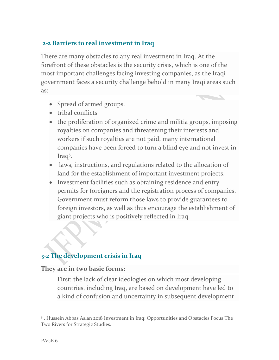#### **2-2 Barriers to real investment in Iraq**

There are many obstacles to any real investment in Iraq. At the forefront of these obstacles is the security crisis, which is one of the most important challenges facing investing companies, as the Iraqi government faces a security challenge behold in many Iraqi areas such as:

- Spread of armed groups.
- tribal conflicts
- the proliferation of organized crime and militia groups, imposing royalties on companies and threatening their interests and workers if such royalties are not paid, many international companies have been forced to turn a blind eye and not invest in Iraq<sup>5</sup>.
- laws, instructions, and regulations related to the allocation of land for the establishment of important investment projects.
- Investment facilities such as obtaining residence and entry permits for foreigners and the registration process of companies. Government must reform those laws to provide guarantees to foreign investors, as well as thus encourage the establishment of giant projects who is positively reflected in Iraq.

#### **3-2 The development crisis in Iraq**

#### **They are in two basic forms:**

First: the lack of clear ideologies on which most developing countries, including Iraq, are based on development have led to a kind of confusion and uncertainty in subsequent development

<sup>5</sup> . Hussein Abbas Aslan 2018 Investment in Iraq: Opportunities and Obstacles Focus The Two Rivers for Strategic Studies.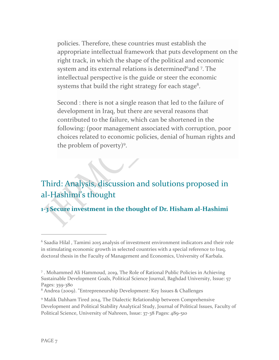policies. Therefore, these countries must establish the appropriate intellectual framework that puts development on the right track, in which the shape of the political and economic system and its external relations is determined<sup>6</sup>and <sup>7</sup>. The intellectual perspective is the guide or steer the economic systems that build the right strategy for each stage<sup>8</sup>.

Second : there is not a single reason that led to the failure of development in Iraq, but there are several reasons that contributed to the failure, which can be shortened in the following: (poor management associated with corruption, poor choices related to economic policies, denial of human rights and the problem of poverty)<sup>9</sup>.

### Third: Analysis, discussion and solutions proposed in al-Hashimi's thought

**1-3 Secure investment in the thought of Dr. Hisham al-Hashimi** 

<sup>&</sup>lt;sup>6</sup> Saadia Hilal, Tamimi 2015 analysis of investment environment indicators and their role in stimulating economic growth in selected countries with a special reference to Iraq, doctoral thesis in the Faculty of Management and Economics, University of Karbala.

<sup>7</sup> . Mohammed Ali Hammoud, 2019, The Role of Rational Public Policies in Achieving Sustainable Development Goals, Political Science Journal, Baghdad University, Issue: 57 Pages: 359-380

<sup>8</sup> Andrea (2009). "Entrepreneurship Development: Key Issues & Challenges

<sup>9</sup> Malik Dahham Tired 2014, The Dialectic Relationship between Comprehensive Development and Political Stability Analytical Study, Journal of Political Issues, Faculty of Political Science, University of Nahreen, Issue: 37-38 Pages: 489-510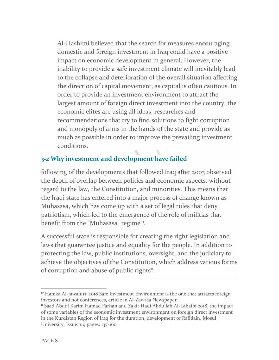Al-Hashimi believed that the search for measures encouraging domestic and foreign investment in Iraq could have a positive impact on economic development in general. However, the inability to provide a safe investment climate will inevitably lead to the collapse and deterioration of the overall situation affecting the direction of capital movement, as capital is often cautious. In order to provide an investment environment to attract the largest amount of foreign direct investment into the country, the economic elites are using all ideas, researches and recommendations that try to find solutions to fight corruption and monopoly of arms in the hands of the state and provide as much as possible in order to improve the prevailing investment conditions.

### **3-2 Why investment and development have failed**

following of the developments that followed Iraq after 2003 observed the depth of overlap between politics and economic aspects, without regard to the law, the Constitution, and minorities. This means that the Iraqi state has entered into a major process of change known as Muhasasa, which has come up with a set of legal rules that deny patriotism, which led to the emergence of the role of militias that benefit from the "Muhasasa" regime<sup>10</sup>.

A successful state is responsible for creating the right legislation and laws that guarantee justice and equality for the people. In addition to protecting the law, public institutions, oversight, and the judiciary to achieve the objectives of the Constitution, which address various forms of corruption and abuse of public rights<sup>11</sup>.

 $10$  Hamza Al-Jawahiri: 2018 Safe Investment Environment is the one that attracts foreign investors and not conferences, article in Al-Zawraa Newspaper

<sup>11</sup> Saad Abdul Karim Hamad Farhan and Zakir Hadi Abdullah Al-Lahaibi 2018, the impact of some variables of the economic investment environment on foreign direct investment in the Kurdistan Region of Iraq for the duration, development of Rafidain, Mosul University, Issue: 119 pages: 137-160.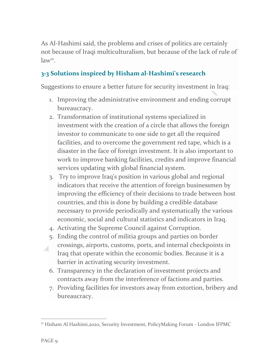As Al-Hashimi said, the problems and crises of politics are certainly not because of Iraqi multiculturalism, but because of the lack of rule of  $law<sup>12</sup>$ .

### **3-3 Solutions inspired by Hisham al-Hashimi's research**

Suggestions to ensure a better future for security investment in Iraq:

- 1. Improving the administrative environment and ending corrupt bureaucracy.
- 2. Transformation of institutional systems specialized in investment with the creation of a circle that allows the foreign investor to communicate to one side to get all the required facilities, and to overcome the government red tape, which is a disaster in the face of foreign investment. It is also important to work to improve banking facilities, credits and improve financial services updating with global financial system.
- 3. Try to improve Iraq's position in various global and regional indicators that receive the attention of foreign businessmen by improving the efficiency of their decisions to trade between host countries, and this is done by building a credible database necessary to provide periodically and systematically the various economic, social and cultural statistics and indicators in Iraq.
- 4. Activating the Supreme Council against Corruption.
- 5. Ending the control of militia groups and parties on border crossings, airports, customs, ports, and internal checkpoints in Iraq that operate within the economic bodies. Because it is a barrier in activating security investment.
- 6. Transparency in the declaration of investment projects and contracts away from the interference of factions and parties.
- 7. Providing facilities for investors away from extortion, bribery and bureaucracy.

<sup>&</sup>lt;sup>12</sup> Hisham Al Hashimi,2020, Security Investment, PolicyMaking Forum - London IFPMC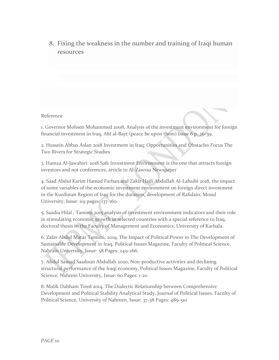8. Fixing the weakness in the number and training of Iraqi human resources

#### Reference

1. Governor Mohsen Mohammed 2008, Analysis of the investment environment for foreign financial investment in Iraq, Ahl al-Bayt (peace be upon them) Issue 6 p. 26-39.

2. Hussein Abbas Aslan 2018 Investment in Iraq: Opportunities and Obstacles Focus The Two Rivers for Strategic Studies

3. Hamza Al-Jawahiri: 2018 Safe Investment Environment is the one that attracts foreign investors and not conferences, article in Al-Zawraa Newspaper

4. Saad Abdul Karim Hamad Farhan and Zakir Hadi Abdullah Al-Lahaibi 2018, the impact of some variables of the economic investment environment on foreign direct investment in the Kurdistan Region of Iraq for the duration, development of Rafidain, Mosul University, Issue: 119 pages: 137-160.

5. Saadia Hilal , Tamimi 2015 analysis of investment environment indicators and their role in stimulating economic growth in selected countries with a special reference to Iraq, doctoral thesis in the Faculty of Management and Economics, University of Karbala.

6. Zafar Abdul Matar Tamimi, 2019, The Impact of Political Power in The Development of Sustainable Development in Iraq, Political Issues Magazine, Faculty of Political Science, Nahrain University, Issue: 58 Pages: 249-266.

7. Abdul Samad Saadoun Abdullah 2020, Non-productive activities and declining structural performance of the Iraqi economy, Political Issues Magazine, Faculty of Political Science, Nahrein University, Issue: 60 Pages: 1-20

8. Malik Dahham Tired 2014, The Dialectic Relationship between Comprehensive Development and Political Stability Analytical Study, Journal of Political Issues, Faculty of Political Science, University of Nahreen, Issue: 37-38 Pages: 489-510